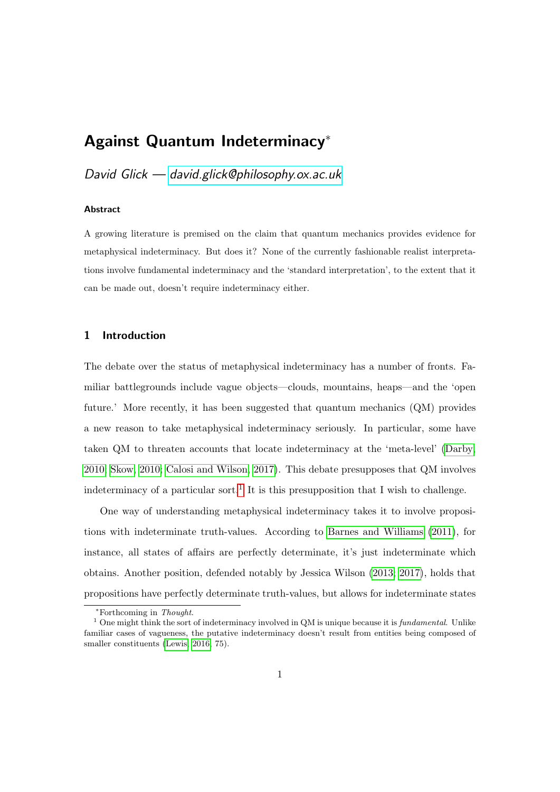# <span id="page-0-0"></span>Against Quantum Indeterminacy<sup>∗</sup>

# David Glick — [david.glick@philosophy.ox.ac.uk](mailto:david.glick@philosophy.ox.ac.uk)

#### Abstract

A growing literature is premised on the claim that quantum mechanics provides evidence for metaphysical indeterminacy. But does it? None of the currently fashionable realist interpretations involve fundamental indeterminacy and the 'standard interpretation', to the extent that it can be made out, doesn't require indeterminacy either.

# 1 Introduction

The debate over the status of metaphysical indeterminacy has a number of fronts. Familiar battlegrounds include vague objects—clouds, mountains, heaps—and the 'open future.' More recently, it has been suggested that quantum mechanics (QM) provides a new reason to take metaphysical indeterminacy seriously. In particular, some have taken QM to threaten accounts that locate indeterminacy at the 'meta-level' [\(Darby,](#page-13-0) [2010;](#page-13-0) [Skow, 2010;](#page-13-1) [Calosi and Wilson, 2017\)](#page-13-2). This debate presupposes that QM involves indeterminacy of a particular sort.<sup>1</sup> It is this presupposition that I wish to challenge.

One way of understanding metaphysical indeterminacy takes it to involve propositions with indeterminate truth-values. According to [Barnes and Williams](#page-12-0) [\(2011\)](#page-12-0), for instance, all states of affairs are perfectly determinate, it's just indeterminate which obtains. Another position, defended notably by Jessica Wilson [\(2013;](#page-14-0) [2017\)](#page-14-1), holds that propositions have perfectly determinate truth-values, but allows for indeterminate states

<sup>∗</sup>Forthcoming in Thought.

 $1$  One might think the sort of indeterminacy involved in QM is unique because it is *fundamental*. Unlike familiar cases of vagueness, the putative indeterminacy doesn't result from entities being composed of smaller constituents [\(Lewis, 2016,](#page-13-3) 75).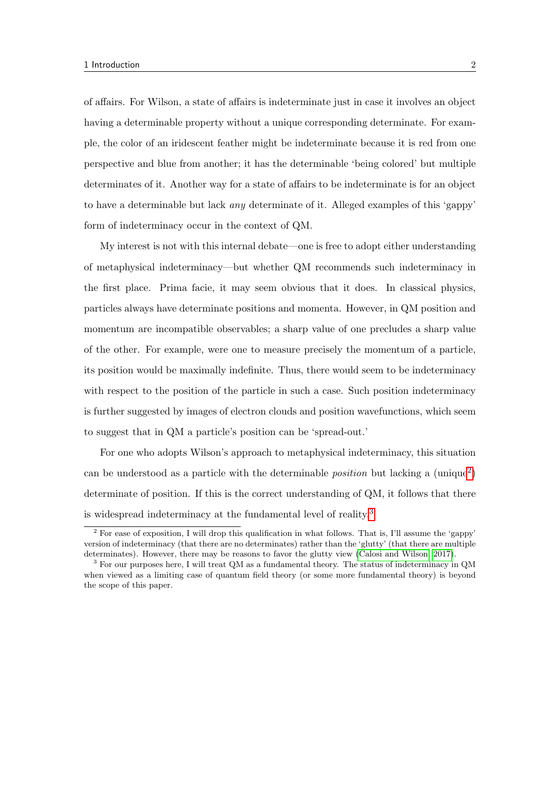of affairs. For Wilson, a state of affairs is indeterminate just in case it involves an object having a determinable property without a unique corresponding determinate. For example, the color of an iridescent feather might be indeterminate because it is red from one perspective and blue from another; it has the determinable 'being colored' but multiple determinates of it. Another way for a state of affairs to be indeterminate is for an object to have a determinable but lack any determinate of it. Alleged examples of this 'gappy' form of indeterminacy occur in the context of QM.

My interest is not with this internal debate—one is free to adopt either understanding of metaphysical indeterminacy—but whether QM recommends such indeterminacy in the first place. Prima facie, it may seem obvious that it does. In classical physics, particles always have determinate positions and momenta. However, in QM position and momentum are incompatible observables; a sharp value of one precludes a sharp value of the other. For example, were one to measure precisely the momentum of a particle, its position would be maximally indefinite. Thus, there would seem to be indeterminacy with respect to the position of the particle in such a case. Such position indeterminacy is further suggested by images of electron clouds and position wavefunctions, which seem to suggest that in QM a particle's position can be 'spread-out.'

For one who adopts Wilson's approach to metaphysical indeterminacy, this situation can be understood as a particle with the determinable *position* but lacking a (unique<sup>[2](#page-0-0)</sup>) determinate of position. If this is the correct understanding of QM, it follows that there is widespread indeterminacy at the fundamental level of reality.[3](#page-0-0)

<sup>2</sup> For ease of exposition, I will drop this qualification in what follows. That is, I'll assume the 'gappy' version of indeterminacy (that there are no determinates) rather than the 'glutty' (that there are multiple determinates). However, there may be reasons to favor the glutty view [\(Calosi and Wilson, 2017\)](#page-13-2).

<sup>3</sup> For our purposes here, I will treat QM as a fundamental theory. The status of indeterminacy in QM when viewed as a limiting case of quantum field theory (or some more fundamental theory) is beyond the scope of this paper.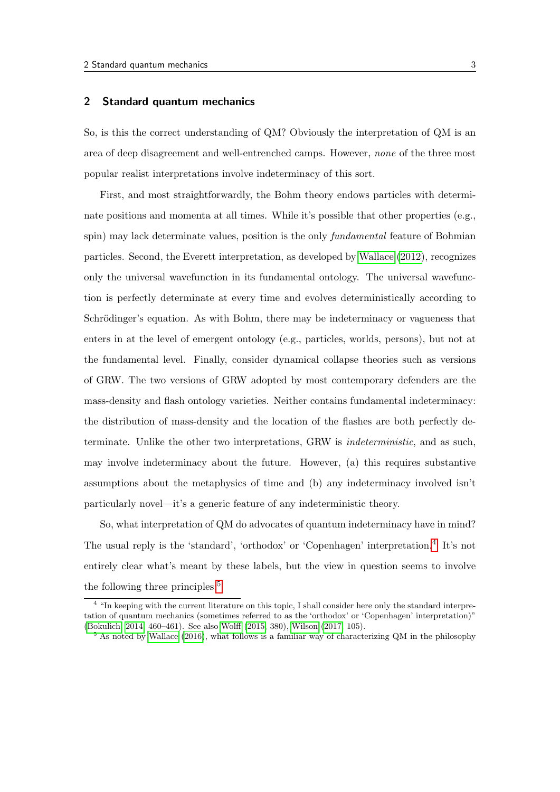#### 2 Standard quantum mechanics

So, is this the correct understanding of QM? Obviously the interpretation of QM is an area of deep disagreement and well-entrenched camps. However, none of the three most popular realist interpretations involve indeterminacy of this sort.

First, and most straightforwardly, the Bohm theory endows particles with determinate positions and momenta at all times. While it's possible that other properties (e.g., spin) may lack determinate values, position is the only *fundamental* feature of Bohmian particles. Second, the Everett interpretation, as developed by [Wallace](#page-13-4) [\(2012\)](#page-13-4), recognizes only the universal wavefunction in its fundamental ontology. The universal wavefunction is perfectly determinate at every time and evolves deterministically according to Schrödinger's equation. As with Bohm, there may be indeterminacy or vagueness that enters in at the level of emergent ontology (e.g., particles, worlds, persons), but not at the fundamental level. Finally, consider dynamical collapse theories such as versions of GRW. The two versions of GRW adopted by most contemporary defenders are the mass-density and flash ontology varieties. Neither contains fundamental indeterminacy: the distribution of mass-density and the location of the flashes are both perfectly determinate. Unlike the other two interpretations, GRW is indeterministic, and as such, may involve indeterminacy about the future. However, (a) this requires substantive assumptions about the metaphysics of time and (b) any indeterminacy involved isn't particularly novel—it's a generic feature of any indeterministic theory.

So, what interpretation of QM do advocates of quantum indeterminacy have in mind? The usual reply is the 'standard', 'orthodox' or 'Copenhagen' interpretation.<sup>[4](#page-0-0)</sup> It's not entirely clear what's meant by these labels, but the view in question seems to involve the following three principles:<sup>[5](#page-0-0)</sup>

<sup>&</sup>lt;sup>4</sup> "In keeping with the current literature on this topic, I shall consider here only the standard interpretation of quantum mechanics (sometimes referred to as the 'orthodox' or 'Copenhagen' interpretation)" [\(Bokulich, 2014,](#page-13-5) 460–461). See also [Wolff](#page-14-2) [\(2015,](#page-14-2) 380), [Wilson](#page-14-1) [\(2017,](#page-14-1) 105).

<sup>&</sup>lt;sup>5</sup> As noted by [Wallace](#page-13-6) [\(2016\)](#page-13-6), what follows is a familiar way of characterizing QM in the philosophy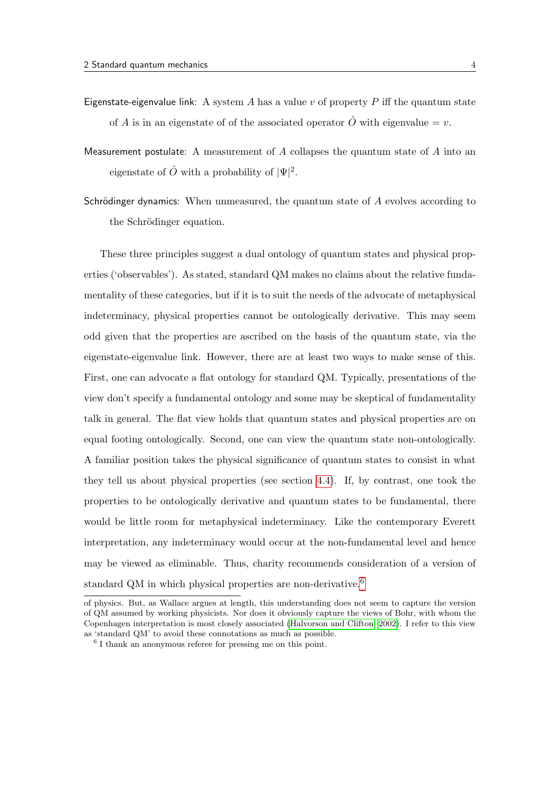- Eigenstate-eigenvalue link: A system A has a value v of property P iff the quantum state of A is in an eigenstate of of the associated operator  $\hat{O}$  with eigenvalue = v.
- Measurement postulate: A measurement of  $A$  collapses the quantum state of  $A$  into an eigenstate of  $\hat{O}$  with a probability of  $|\Psi|^2$ .
- Schrödinger dynamics: When unmeasured, the quantum state of  $A$  evolves according to the Schrödinger equation.

These three principles suggest a dual ontology of quantum states and physical properties ('observables'). As stated, standard QM makes no claims about the relative fundamentality of these categories, but if it is to suit the needs of the advocate of metaphysical indeterminacy, physical properties cannot be ontologically derivative. This may seem odd given that the properties are ascribed on the basis of the quantum state, via the eigenstate-eigenvalue link. However, there are at least two ways to make sense of this. First, one can advocate a flat ontology for standard QM. Typically, presentations of the view don't specify a fundamental ontology and some may be skeptical of fundamentality talk in general. The flat view holds that quantum states and physical properties are on equal footing ontologically. Second, one can view the quantum state non-ontologically. A familiar position takes the physical significance of quantum states to consist in what they tell us about physical properties (see section [4.4\)](#page-9-0). If, by contrast, one took the properties to be ontologically derivative and quantum states to be fundamental, there would be little room for metaphysical indeterminacy. Like the contemporary Everett interpretation, any indeterminacy would occur at the non-fundamental level and hence may be viewed as eliminable. Thus, charity recommends consideration of a version of standard QM in which physical properties are non-derivative.<sup>[6](#page-0-0)</sup>

of physics. But, as Wallace argues at length, this understanding does not seem to capture the version of QM assumed by working physicists. Nor does it obviously capture the views of Bohr, with whom the Copenhagen interpretation is most closely associated [\(Halvorson and Clifton, 2002\)](#page-13-7). I refer to this view as 'standard QM' to avoid these connotations as much as possible.

<sup>6</sup> I thank an anonymous referee for pressing me on this point.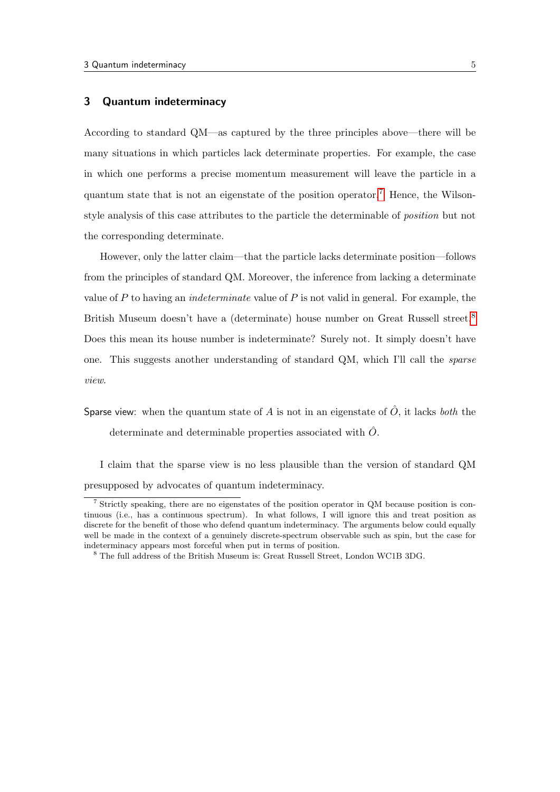# 3 Quantum indeterminacy

According to standard QM—as captured by the three principles above—there will be many situations in which particles lack determinate properties. For example, the case in which one performs a precise momentum measurement will leave the particle in a quantum state that is not an eigenstate of the position operator.<sup>[7](#page-0-0)</sup> Hence, the Wilsonstyle analysis of this case attributes to the particle the determinable of position but not the corresponding determinate.

However, only the latter claim—that the particle lacks determinate position—follows from the principles of standard QM. Moreover, the inference from lacking a determinate value of P to having an *indeterminate* value of P is not valid in general. For example, the British Museum doesn't have a (determinate) house number on Great Russell street.<sup>[8](#page-0-0)</sup> Does this mean its house number is indeterminate? Surely not. It simply doesn't have one. This suggests another understanding of standard QM, which I'll call the sparse view.

I claim that the sparse view is no less plausible than the version of standard QM presupposed by advocates of quantum indeterminacy.

Sparse view: when the quantum state of A is not in an eigenstate of  $\hat{O}$ , it lacks both the determinate and determinable properties associated with  $\hat{O}$ .

<sup>7</sup> Strictly speaking, there are no eigenstates of the position operator in QM because position is continuous (i.e., has a continuous spectrum). In what follows, I will ignore this and treat position as discrete for the benefit of those who defend quantum indeterminacy. The arguments below could equally well be made in the context of a genuinely discrete-spectrum observable such as spin, but the case for indeterminacy appears most forceful when put in terms of position.

<sup>8</sup> The full address of the British Museum is: Great Russell Street, London WC1B 3DG.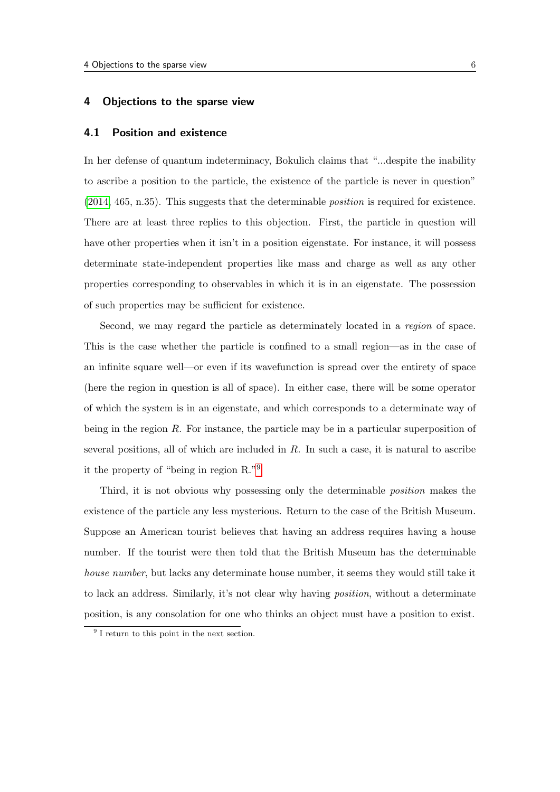#### 4 Objections to the sparse view

#### 4.1 Position and existence

In her defense of quantum indeterminacy, Bokulich claims that "...despite the inability to ascribe a position to the particle, the existence of the particle is never in question" [\(2014,](#page-13-5) 465, n.35). This suggests that the determinable position is required for existence. There are at least three replies to this objection. First, the particle in question will have other properties when it isn't in a position eigenstate. For instance, it will possess determinate state-independent properties like mass and charge as well as any other properties corresponding to observables in which it is in an eigenstate. The possession of such properties may be sufficient for existence.

Second, we may regard the particle as determinately located in a region of space. This is the case whether the particle is confined to a small region—as in the case of an infinite square well—or even if its wavefunction is spread over the entirety of space (here the region in question is all of space). In either case, there will be some operator of which the system is in an eigenstate, and which corresponds to a determinate way of being in the region  $R$ . For instance, the particle may be in a particular superposition of several positions, all of which are included in  $R$ . In such a case, it is natural to ascribe it the property of "being in region R."[9](#page-0-0)

Third, it is not obvious why possessing only the determinable position makes the existence of the particle any less mysterious. Return to the case of the British Museum. Suppose an American tourist believes that having an address requires having a house number. If the tourist were then told that the British Museum has the determinable house number, but lacks any determinate house number, it seems they would still take it to lack an address. Similarly, it's not clear why having position, without a determinate position, is any consolation for one who thinks an object must have a position to exist.

<sup>&</sup>lt;sup>9</sup> I return to this point in the next section.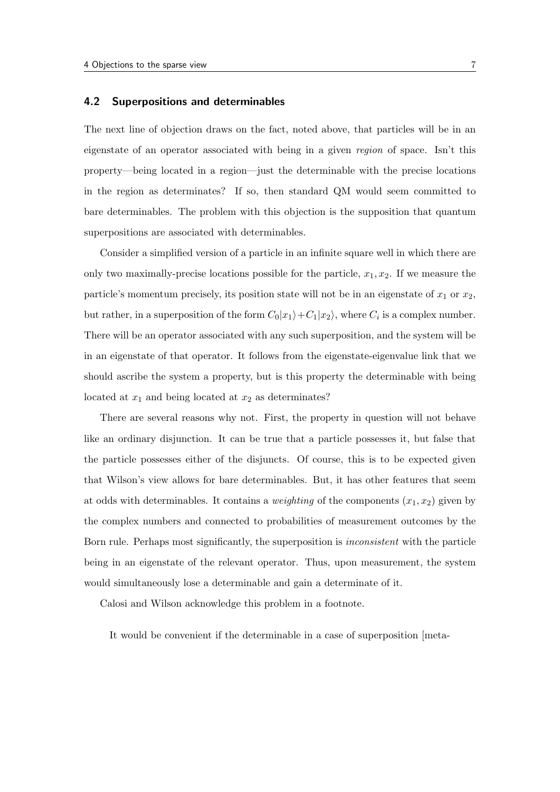#### <span id="page-6-0"></span>4.2 Superpositions and determinables

The next line of objection draws on the fact, noted above, that particles will be in an eigenstate of an operator associated with being in a given region of space. Isn't this property—being located in a region—just the determinable with the precise locations in the region as determinates? If so, then standard QM would seem committed to bare determinables. The problem with this objection is the supposition that quantum superpositions are associated with determinables.

Consider a simplified version of a particle in an infinite square well in which there are only two maximally-precise locations possible for the particle,  $x_1, x_2$ . If we measure the particle's momentum precisely, its position state will not be in an eigenstate of  $x_1$  or  $x_2$ , but rather, in a superposition of the form  $C_0|x_1\rangle + C_1|x_2\rangle$ , where  $C_i$  is a complex number. There will be an operator associated with any such superposition, and the system will be in an eigenstate of that operator. It follows from the eigenstate-eigenvalue link that we should ascribe the system a property, but is this property the determinable with being located at  $x_1$  and being located at  $x_2$  as determinates?

There are several reasons why not. First, the property in question will not behave like an ordinary disjunction. It can be true that a particle possesses it, but false that the particle possesses either of the disjuncts. Of course, this is to be expected given that Wilson's view allows for bare determinables. But, it has other features that seem at odds with determinables. It contains a *weighting* of the components  $(x_1, x_2)$  given by the complex numbers and connected to probabilities of measurement outcomes by the Born rule. Perhaps most significantly, the superposition is inconsistent with the particle being in an eigenstate of the relevant operator. Thus, upon measurement, the system would simultaneously lose a determinable and gain a determinate of it.

Calosi and Wilson acknowledge this problem in a footnote.

It would be convenient if the determinable in a case of superposition [meta-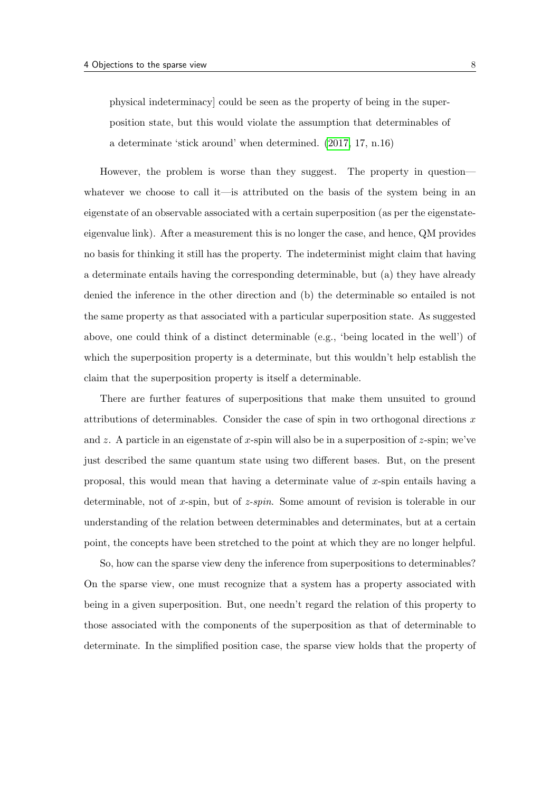physical indeterminacy] could be seen as the property of being in the superposition state, but this would violate the assumption that determinables of a determinate 'stick around' when determined. [\(2017,](#page-13-2) 17, n.16)

However, the problem is worse than they suggest. The property in question whatever we choose to call it—is attributed on the basis of the system being in an eigenstate of an observable associated with a certain superposition (as per the eigenstateeigenvalue link). After a measurement this is no longer the case, and hence, QM provides no basis for thinking it still has the property. The indeterminist might claim that having a determinate entails having the corresponding determinable, but (a) they have already denied the inference in the other direction and (b) the determinable so entailed is not the same property as that associated with a particular superposition state. As suggested above, one could think of a distinct determinable (e.g., 'being located in the well') of which the superposition property is a determinate, but this wouldn't help establish the claim that the superposition property is itself a determinable.

There are further features of superpositions that make them unsuited to ground attributions of determinables. Consider the case of spin in two orthogonal directions  $x$ and z. A particle in an eigenstate of x-spin will also be in a superposition of  $z$ -spin; we've just described the same quantum state using two different bases. But, on the present proposal, this would mean that having a determinate value of x-spin entails having a determinable, not of x-spin, but of  $z$ -spin. Some amount of revision is tolerable in our understanding of the relation between determinables and determinates, but at a certain point, the concepts have been stretched to the point at which they are no longer helpful.

So, how can the sparse view deny the inference from superpositions to determinables? On the sparse view, one must recognize that a system has a property associated with being in a given superposition. But, one needn't regard the relation of this property to those associated with the components of the superposition as that of determinable to determinate. In the simplified position case, the sparse view holds that the property of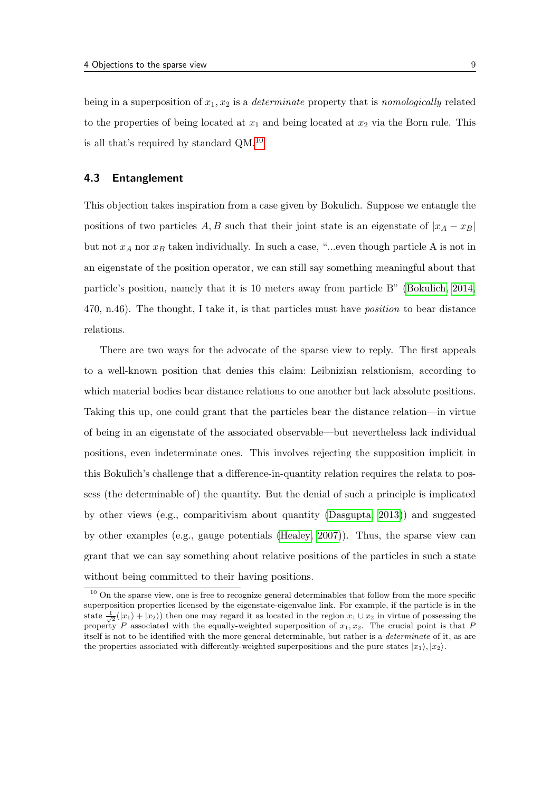being in a superposition of  $x_1, x_2$  is a *determinate* property that is *nomologically* related to the properties of being located at  $x_1$  and being located at  $x_2$  via the Born rule. This is all that's required by standard QM.[10](#page-0-0)

# 4.3 Entanglement

This objection takes inspiration from a case given by Bokulich. Suppose we entangle the positions of two particles A, B such that their joint state is an eigenstate of  $|x_A - x_B|$ but not  $x_A$  nor  $x_B$  taken individually. In such a case, "...even though particle A is not in an eigenstate of the position operator, we can still say something meaningful about that particle's position, namely that it is 10 meters away from particle B" [\(Bokulich, 2014,](#page-13-5) 470, n.46). The thought, I take it, is that particles must have position to bear distance relations.

There are two ways for the advocate of the sparse view to reply. The first appeals to a well-known position that denies this claim: Leibnizian relationism, according to which material bodies bear distance relations to one another but lack absolute positions. Taking this up, one could grant that the particles bear the distance relation—in virtue of being in an eigenstate of the associated observable—but nevertheless lack individual positions, even indeterminate ones. This involves rejecting the supposition implicit in this Bokulich's challenge that a difference-in-quantity relation requires the relata to possess (the determinable of) the quantity. But the denial of such a principle is implicated by other views (e.g., comparitivism about quantity [\(Dasgupta, 2013\)](#page-13-8)) and suggested by other examples (e.g., gauge potentials [\(Healey, 2007\)](#page-13-9)). Thus, the sparse view can grant that we can say something about relative positions of the particles in such a state without being committed to their having positions.

<sup>&</sup>lt;sup>10</sup> On the sparse view, one is free to recognize general determinables that follow from the more specific superposition properties licensed by the eigenstate-eigenvalue link. For example, if the particle is in the state  $\frac{1}{\sqrt{2}}(|x_1\rangle + |x_2\rangle)$  then one may regard it as located in the region  $x_1 \cup x_2$  in virtue of possessing the property P associated with the equally-weighted superposition of  $x_1, x_2$ . The crucial point is that P itself is not to be identified with the more general determinable, but rather is a determinate of it, as are the properties associated with differently-weighted superpositions and the pure states  $|x_1\rangle, |x_2\rangle$ .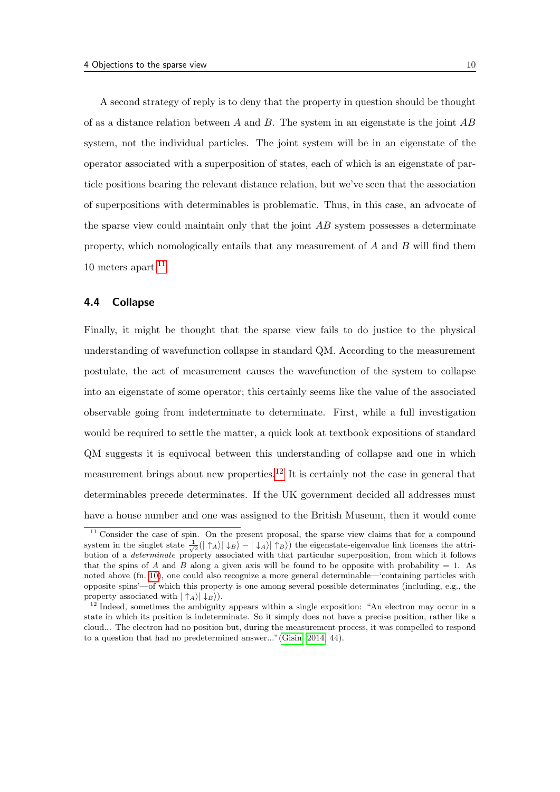A second strategy of reply is to deny that the property in question should be thought of as a distance relation between A and B. The system in an eigenstate is the joint  $AB$ system, not the individual particles. The joint system will be in an eigenstate of the operator associated with a superposition of states, each of which is an eigenstate of particle positions bearing the relevant distance relation, but we've seen that the association of superpositions with determinables is problematic. Thus, in this case, an advocate of the sparse view could maintain only that the joint  $AB$  system possesses a determinate property, which nomologically entails that any measurement of A and B will find them 10 meters apart. $11$ 

# <span id="page-9-0"></span>4.4 Collapse

Finally, it might be thought that the sparse view fails to do justice to the physical understanding of wavefunction collapse in standard QM. According to the measurement postulate, the act of measurement causes the wavefunction of the system to collapse into an eigenstate of some operator; this certainly seems like the value of the associated observable going from indeterminate to determinate. First, while a full investigation would be required to settle the matter, a quick look at textbook expositions of standard QM suggests it is equivocal between this understanding of collapse and one in which measurement brings about new properties.<sup>[12](#page-0-0)</sup> It is certainly not the case in general that determinables precede determinates. If the UK government decided all addresses must have a house number and one was assigned to the British Museum, then it would come

<sup>&</sup>lt;sup>11</sup> Consider the case of spin. On the present proposal, the sparse view claims that for a compound system in the singlet state  $\frac{1}{\sqrt{2}}(|\uparrow_A\rangle|\downarrow_B\rangle - |\downarrow_A\rangle|\uparrow_B\rangle)$  the eigenstate-eigenvalue link licenses the attribution of a determinate property associated with that particular superposition, from which it follows that the spins of A and B along a given axis will be found to be opposite with probability  $= 1$ . As noted above (fn. [10\)](#page-6-0), one could also recognize a more general determinable—'containing particles with opposite spins'—of which this property is one among several possible determinates (including, e.g., the property associated with  $|\uparrow_A\rangle|\downarrow_B\rangle$ .

<sup>&</sup>lt;sup>12</sup> Indeed, sometimes the ambiguity appears within a single exposition: "An electron may occur in a state in which its position is indeterminate. So it simply does not have a precise position, rather like a cloud... The electron had no position but, during the measurement process, it was compelled to respond to a question that had no predetermined answer..."[\(Gisin, 2014,](#page-13-10) 44).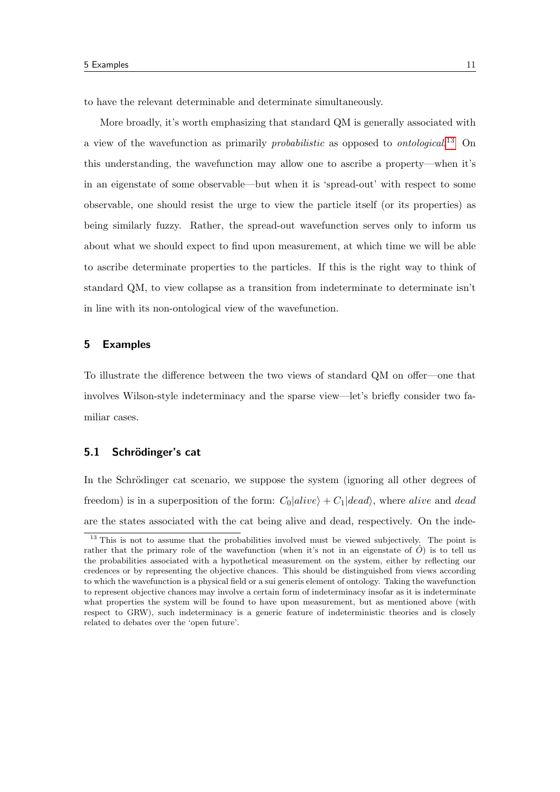to have the relevant determinable and determinate simultaneously.

More broadly, it's worth emphasizing that standard QM is generally associated with a view of the wavefunction as primarily *probabilistic* as opposed to *ontological*.<sup>[13](#page-0-0)</sup> On this understanding, the wavefunction may allow one to ascribe a property—when it's in an eigenstate of some observable—but when it is 'spread-out' with respect to some observable, one should resist the urge to view the particle itself (or its properties) as being similarly fuzzy. Rather, the spread-out wavefunction serves only to inform us about what we should expect to find upon measurement, at which time we will be able to ascribe determinate properties to the particles. If this is the right way to think of standard QM, to view collapse as a transition from indeterminate to determinate isn't in line with its non-ontological view of the wavefunction.

#### 5 Examples

To illustrate the difference between the two views of standard QM on offer—one that involves Wilson-style indeterminacy and the sparse view—let's briefly consider two familiar cases.

# 5.1 Schrödinger's cat

In the Schrödinger cat scenario, we suppose the system (ignoring all other degrees of freedom) is in a superposition of the form:  $C_0|alive\rangle + C_1|dead\rangle$ , where alive and dead are the states associated with the cat being alive and dead, respectively. On the inde-

<sup>&</sup>lt;sup>13</sup> This is not to assume that the probabilities involved must be viewed subjectively. The point is rather that the primary role of the wavefunction (when it's not in an eigenstate of  $\hat{O}$ ) is to tell us the probabilities associated with a hypothetical measurement on the system, either by reflecting our credences or by representing the objective chances. This should be distinguished from views according to which the wavefunction is a physical field or a sui generis element of ontology. Taking the wavefunction to represent objective chances may involve a certain form of indeterminacy insofar as it is indeterminate what properties the system will be found to have upon measurement, but as mentioned above (with respect to GRW), such indeterminacy is a generic feature of indeterministic theories and is closely related to debates over the 'open future'.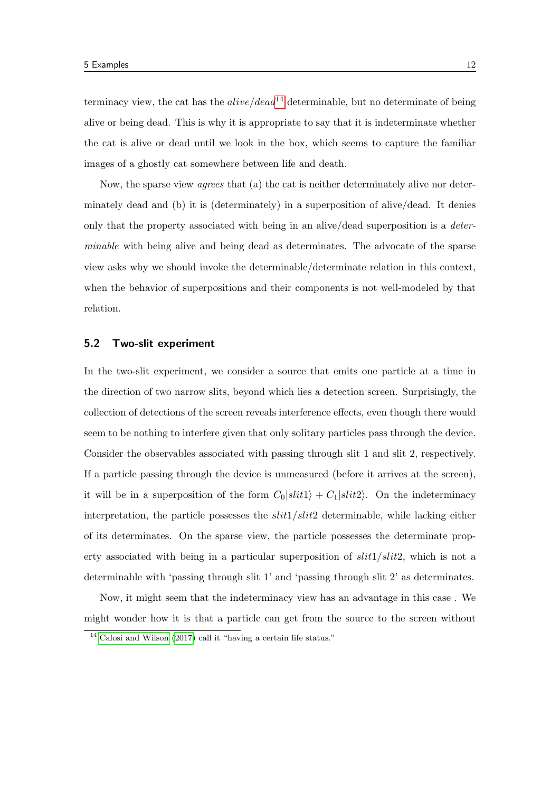terminacy view, the cat has the  $alive/dead^{14}$  $alive/dead^{14}$  $alive/dead^{14}$  determinable, but no determinate of being alive or being dead. This is why it is appropriate to say that it is indeterminate whether the cat is alive or dead until we look in the box, which seems to capture the familiar images of a ghostly cat somewhere between life and death.

Now, the sparse view agrees that (a) the cat is neither determinately alive nor determinately dead and (b) it is (determinately) in a superposition of alive/dead. It denies only that the property associated with being in an alive/dead superposition is a determinable with being alive and being dead as determinates. The advocate of the sparse view asks why we should invoke the determinable/determinate relation in this context, when the behavior of superpositions and their components is not well-modeled by that relation.

#### 5.2 Two-slit experiment

In the two-slit experiment, we consider a source that emits one particle at a time in the direction of two narrow slits, beyond which lies a detection screen. Surprisingly, the collection of detections of the screen reveals interference effects, even though there would seem to be nothing to interfere given that only solitary particles pass through the device. Consider the observables associated with passing through slit 1 and slit 2, respectively. If a particle passing through the device is unmeasured (before it arrives at the screen), it will be in a superposition of the form  $C_0\vert slit1\rangle + C_1\vert slit2\rangle$ . On the indeterminacy interpretation, the particle possesses the  $slit1/slit2$  determinable, while lacking either of its determinates. On the sparse view, the particle possesses the determinate property associated with being in a particular superposition of  $slit1/slit2$ , which is not a determinable with 'passing through slit 1' and 'passing through slit 2' as determinates.

Now, it might seem that the indeterminacy view has an advantage in this case . We might wonder how it is that a particle can get from the source to the screen without

<sup>&</sup>lt;sup>14</sup> [Calosi and Wilson](#page-13-2) [\(2017\)](#page-13-2) call it "having a certain life status."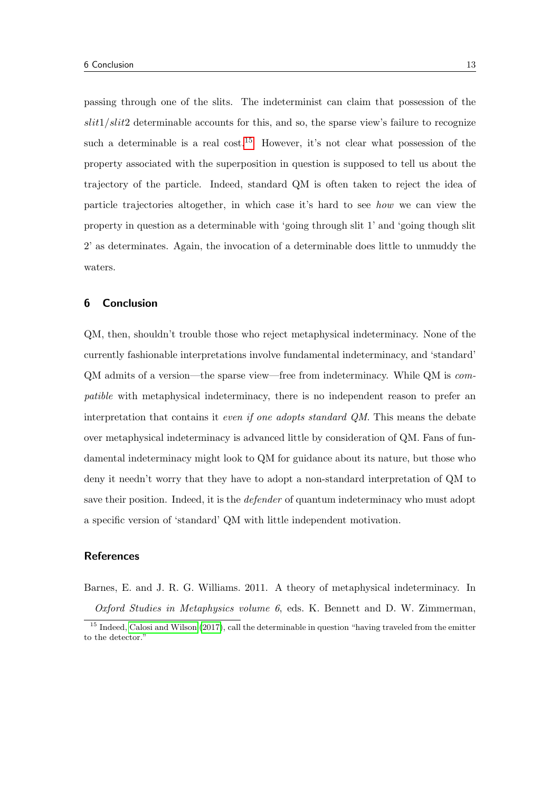passing through one of the slits. The indeterminist can claim that possession of the  $slit1/slit2$  determinable accounts for this, and so, the sparse view's failure to recognize such a determinable is a real cost.<sup>[15](#page-0-0)</sup> However, it's not clear what possession of the property associated with the superposition in question is supposed to tell us about the trajectory of the particle. Indeed, standard QM is often taken to reject the idea of particle trajectories altogether, in which case it's hard to see how we can view the property in question as a determinable with 'going through slit 1' and 'going though slit 2' as determinates. Again, the invocation of a determinable does little to unmuddy the waters.

#### 6 Conclusion

QM, then, shouldn't trouble those who reject metaphysical indeterminacy. None of the currently fashionable interpretations involve fundamental indeterminacy, and 'standard' QM admits of a version—the sparse view—free from indeterminacy. While QM is compatible with metaphysical indeterminacy, there is no independent reason to prefer an interpretation that contains it even if one adopts standard QM. This means the debate over metaphysical indeterminacy is advanced little by consideration of QM. Fans of fundamental indeterminacy might look to QM for guidance about its nature, but those who deny it needn't worry that they have to adopt a non-standard interpretation of QM to save their position. Indeed, it is the *defender* of quantum indeterminacy who must adopt a specific version of 'standard' QM with little independent motivation.

#### **References**

<span id="page-12-0"></span>Barnes, E. and J. R. G. Williams. 2011. A theory of metaphysical indeterminacy. In

Oxford Studies in Metaphysics volume 6, eds. K. Bennett and D. W. Zimmerman,

<sup>&</sup>lt;sup>15</sup> Indeed, [Calosi and Wilson](#page-13-2) [\(2017\)](#page-13-2), call the determinable in question "having traveled from the emitter to the detector."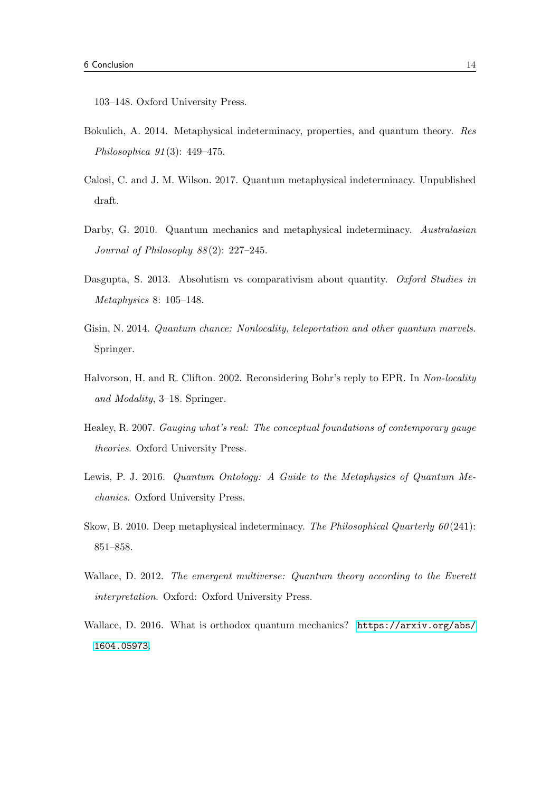103–148. Oxford University Press.

- <span id="page-13-5"></span>Bokulich, A. 2014. Metaphysical indeterminacy, properties, and quantum theory. Res Philosophica 91 (3): 449–475.
- <span id="page-13-2"></span>Calosi, C. and J. M. Wilson. 2017. Quantum metaphysical indeterminacy. Unpublished draft.
- <span id="page-13-0"></span>Darby, G. 2010. Quantum mechanics and metaphysical indeterminacy. Australasian Journal of Philosophy  $88(2)$ : 227–245.
- <span id="page-13-8"></span>Dasgupta, S. 2013. Absolutism vs comparativism about quantity. Oxford Studies in Metaphysics 8: 105–148.
- <span id="page-13-10"></span>Gisin, N. 2014. Quantum chance: Nonlocality, teleportation and other quantum marvels. Springer.
- <span id="page-13-7"></span>Halvorson, H. and R. Clifton. 2002. Reconsidering Bohr's reply to EPR. In Non-locality and Modality, 3–18. Springer.
- <span id="page-13-9"></span>Healey, R. 2007. Gauging what's real: The conceptual foundations of contemporary gauge theories. Oxford University Press.
- <span id="page-13-3"></span>Lewis, P. J. 2016. Quantum Ontology: A Guide to the Metaphysics of Quantum Mechanics. Oxford University Press.
- <span id="page-13-1"></span>Skow, B. 2010. Deep metaphysical indeterminacy. The Philosophical Quarterly  $60(241)$ : 851–858.
- <span id="page-13-4"></span>Wallace, D. 2012. The emergent multiverse: Quantum theory according to the Everett interpretation. Oxford: Oxford University Press.
- <span id="page-13-6"></span>Wallace, D. 2016. What is orthodox quantum mechanics? [https://arxiv.org/abs/](https://arxiv.org/abs/1604.05973) [1604.05973](https://arxiv.org/abs/1604.05973).